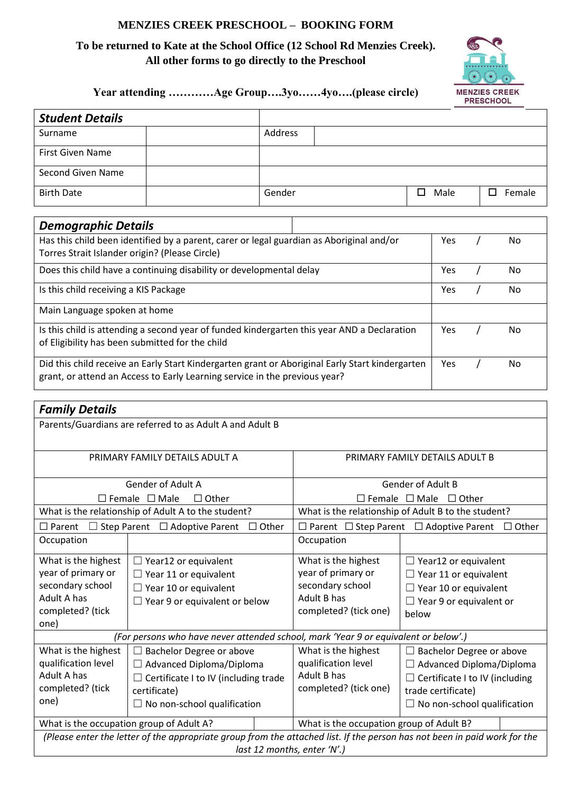#### **MENZIES CREEK PRESCHOOL – BOOKING FORM**

### **To be returned to Kate at the School Office (12 School Rd Menzies Creek). All other forms to go directly to the Preschool**



## **Year attending …………Age Group….3yo……4yo….(please circle)**

| <b>Student Details</b>                                                                          |                                                                                             |         |     |    |            |             |
|-------------------------------------------------------------------------------------------------|---------------------------------------------------------------------------------------------|---------|-----|----|------------|-------------|
| Surname                                                                                         |                                                                                             | Address |     |    |            |             |
| First Given Name                                                                                |                                                                                             |         |     |    |            |             |
| Second Given Name                                                                               |                                                                                             |         |     |    |            |             |
| <b>Birth Date</b>                                                                               |                                                                                             | Gender  |     | □  | Male       | П<br>Female |
|                                                                                                 |                                                                                             |         |     |    |            |             |
| <b>Demographic Details</b>                                                                      |                                                                                             |         |     |    |            |             |
|                                                                                                 | Has this child been identified by a parent, carer or legal guardian as Aboriginal and/or    |         |     |    | <b>Yes</b> | No          |
| Torres Strait Islander origin? (Please Circle)                                                  |                                                                                             |         |     |    |            |             |
|                                                                                                 | Does this child have a continuing disability or developmental delay                         |         |     |    | Yes        | No.         |
| Is this child receiving a KIS Package                                                           |                                                                                             |         | Yes | No |            |             |
| Main Language spoken at home                                                                    |                                                                                             |         |     |    |            |             |
|                                                                                                 | Is this child is attending a second year of funded kindergarten this year AND a Declaration |         |     |    | Yes        | No.         |
| of Eligibility has been submitted for the child                                                 |                                                                                             |         |     |    |            |             |
| Did this child receive an Early Start Kindergarten grant or Aboriginal Early Start kindergarten |                                                                                             |         | Yes | No |            |             |
|                                                                                                 | grant, or attend an Access to Early Learning service in the previous year?                  |         |     |    |            |             |

# *Family Details*

| <b>Family Details</b>                                                                                                                                                                                                                                            |                                                                                                                                     |                                                                                                       |                                                                                                                                                                         |  |  |  |
|------------------------------------------------------------------------------------------------------------------------------------------------------------------------------------------------------------------------------------------------------------------|-------------------------------------------------------------------------------------------------------------------------------------|-------------------------------------------------------------------------------------------------------|-------------------------------------------------------------------------------------------------------------------------------------------------------------------------|--|--|--|
| Parents/Guardians are referred to as Adult A and Adult B                                                                                                                                                                                                         |                                                                                                                                     |                                                                                                       |                                                                                                                                                                         |  |  |  |
| PRIMARY FAMILY DETAILS ADULT A                                                                                                                                                                                                                                   |                                                                                                                                     | PRIMARY FAMILY DETAILS ADULT B                                                                        |                                                                                                                                                                         |  |  |  |
| <b>Gender of Adult A</b>                                                                                                                                                                                                                                         |                                                                                                                                     | <b>Gender of Adult B</b>                                                                              |                                                                                                                                                                         |  |  |  |
| $\Box$ Female $\Box$ Male<br>$\Box$ Other                                                                                                                                                                                                                        |                                                                                                                                     | $\Box$ Female $\Box$ Male<br>$\Box$ Other                                                             |                                                                                                                                                                         |  |  |  |
| What is the relationship of Adult A to the student?                                                                                                                                                                                                              |                                                                                                                                     | What is the relationship of Adult B to the student?                                                   |                                                                                                                                                                         |  |  |  |
| Step Parent □ Adoptive Parent<br>$\Box$ Other<br>$\Box$ Parent<br>$\Box$                                                                                                                                                                                         |                                                                                                                                     | $\Box$ Parent $\Box$ Step Parent $\Box$ Adoptive Parent<br>$\Box$ Other                               |                                                                                                                                                                         |  |  |  |
| Occupation                                                                                                                                                                                                                                                       |                                                                                                                                     | Occupation                                                                                            |                                                                                                                                                                         |  |  |  |
| What is the highest<br>year of primary or<br>secondary school<br>Adult A has<br>completed? (tick<br>one)                                                                                                                                                         | $\Box$ Year12 or equivalent<br>$\Box$ Year 11 or equivalent<br>$\Box$ Year 10 or equivalent<br>$\Box$ Year 9 or equivalent or below | What is the highest<br>year of primary or<br>secondary school<br>Adult B has<br>completed? (tick one) | $\Box$ Year12 or equivalent<br>$\Box$ Year 11 or equivalent<br>$\Box$ Year 10 or equivalent<br>$\Box$ Year 9 or equivalent or<br>below                                  |  |  |  |
| (For persons who have never attended school, mark 'Year 9 or equivalent or below'.)                                                                                                                                                                              |                                                                                                                                     |                                                                                                       |                                                                                                                                                                         |  |  |  |
| What is the highest<br>$\Box$ Bachelor Degree or above<br>qualification level<br>$\Box$ Advanced Diploma/Diploma<br>Adult A has<br>$\Box$ Certificate I to IV (including trade<br>completed? (tick<br>certificate)<br>one)<br>$\Box$ No non-school qualification |                                                                                                                                     | What is the highest<br>qualification level<br>Adult B has<br>completed? (tick one)                    | $\Box$ Bachelor Degree or above<br>$\Box$ Advanced Diploma/Diploma<br>$\Box$ Certificate I to IV (including<br>trade certificate)<br>$\Box$ No non-school qualification |  |  |  |
|                                                                                                                                                                                                                                                                  | What is the occupation group of Adult A?                                                                                            | What is the occupation group of Adult B?                                                              |                                                                                                                                                                         |  |  |  |
|                                                                                                                                                                                                                                                                  | (Please enter the letter of the appropriate group from the attached list. If the person has not been in paid work for the           |                                                                                                       |                                                                                                                                                                         |  |  |  |
|                                                                                                                                                                                                                                                                  | last 12 months, enter 'N'.)                                                                                                         |                                                                                                       |                                                                                                                                                                         |  |  |  |